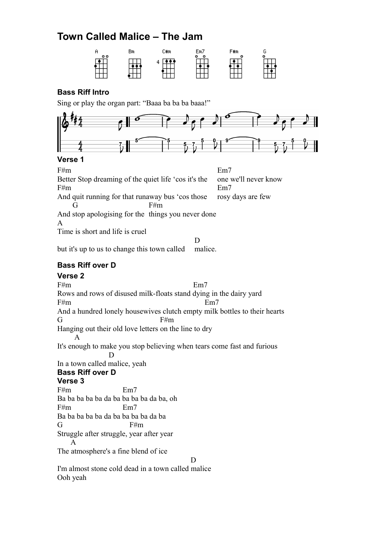# **Town Called Malice – The Jam**



#### **Bass Riff Intro**

Sing or play the organ part: "Baaa ba ba ba baaa!"



#### **Verse 1**

 $F#m$  Em7 Better Stop dreaming of the quiet life 'cos it's the one we'll never know  $F#m$  Em7 And quit running for that runaway bus 'cos those rosy days are few  $F#m$ And stop apologising for the things you never done A Time is short and life is cruel D

but it's up to us to change this town called malice.

#### **Bass Riff over D**

**Verse 2**  $F#m$  Em7 Rows and rows of disused milk-floats stand dying in the dairy yard  $F#m$  Em7 And a hundred lonely housewives clutch empty milk bottles to their hearts  $G$  F#m Hanging out their old love letters on the line to dry A It's enough to make you stop believing when tears come fast and furious D In a town called malice, yeah **Bass Riff over D Verse 3** F#m Em7 Ba ba ba ba ba da ba ba ba ba da ba, oh F#m Em7 Ba ba ba ba ba da ba ba ba ba da ba  $G$  F#m Struggle after struggle, year after year A The atmosphere's a fine blend of ice D I'm almost stone cold dead in a town called malice Ooh yeah